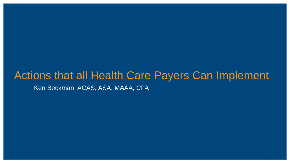### Actions that all Health Care Payers Can Implement Ken Beckman, ACAS, ASA, MAAA, CFA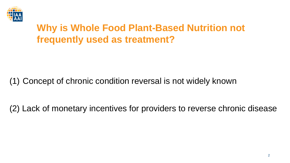

## **Why is Whole Food Plant-Based Nutrition not frequently used as treatment?**

#### (1) Concept of chronic condition reversal is not widely known

(2) Lack of monetary incentives for providers to reverse chronic disease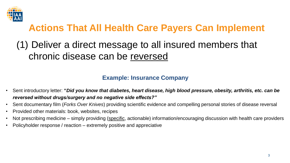

## (1) Deliver a direct message to all insured members that chronic disease can be reversed

#### **Example: Insurance Company**

- Sent introductory letter: **"***Did you know that diabetes, heart disease, high blood pressure, obesity, arthritis, etc. can be reversed without drugs/surgery and no negative side effects?"*
- Sent documentary film (*Forks Over Knives*) providing scientific evidence and compelling personal stories of disease reversal
- Provided other materials: book, websites, recipes
- Not prescribing medicine simply providing (specific, actionable) information/encouraging discussion with health care providers
- Policyholder response / reaction extremely positive and appreciative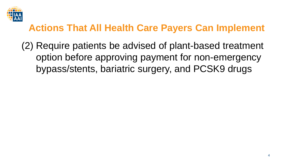

(2) Require patients be advised of plant-based treatment option before approving payment for non-emergency bypass/stents, bariatric surgery, and PCSK9 drugs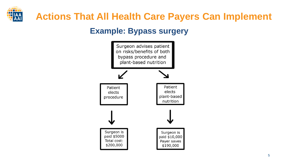

#### **Example: Bypass surgery**

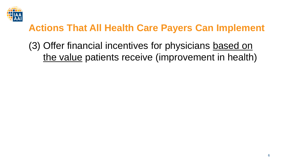

(3) Offer financial incentives for physicians based on the value patients receive (improvement in health)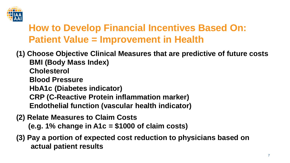

## **How to Develop Financial Incentives Based On: Patient Value = Improvement in Health**

**(1) Choose Objective Clinical Measures that are predictive of future costs BMI (Body Mass Index) Cholesterol Blood Pressure HbA1c (Diabetes indicator) CRP (C-Reactive Protein inflammation marker) Endothelial function (vascular health indicator)**

- **(2) Relate Measures to Claim Costs (e.g. 1% change in A1c = \$1000 of claim costs)**
- **(3) Pay a portion of expected cost reduction to physicians based on actual patient results**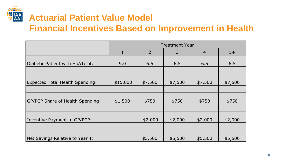

### **Actuarial Patient Value Model Financial Incentives Based on Improvement in Health**

|                                        | <b>Treatment Year</b> |                |         |                |         |
|----------------------------------------|-----------------------|----------------|---------|----------------|---------|
|                                        | $\mathbf{1}$          | $\overline{2}$ | 3       | $\overline{4}$ | $5+$    |
| Diabetic Patient with HbA1c of:        | 9.0                   | 6.5            | 6.5     | 6.5            | 6.5     |
|                                        |                       |                |         |                |         |
| <b>Expected Total Health Spending:</b> | \$15,000              | \$7,500        | \$7,500 | \$7,500        | \$7,500 |
|                                        |                       |                |         |                |         |
| GP/PCP Share of Health Spending:       | \$1,500               | \$750          | \$750   | \$750          | \$750   |
|                                        |                       |                |         |                |         |
| Incentive Payment to GP/PCP:           |                       | \$2,000        | \$2,000 | \$2,000        | \$2,000 |
|                                        |                       |                |         |                |         |
| Net Savings Relative to Year 1:        |                       | \$5,500        | \$5,500 | \$5,500        | \$5,500 |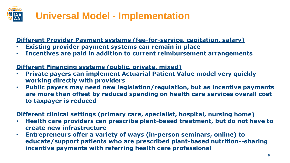## **Universal Model - Implementation**

**Different Provider Payment systems (fee-for-service, capitation, salary)**

- **Existing provider payment systems can remain in place**
- **Incentives are paid in addition to current reimbursement arrangements**

**Different Financing systems (public, private, mixed)**

- **Private payers can implement Actuarial Patient Value model very quickly working directly with providers**
- **Public payers may need new legislation/regulation, but as incentive payments are more than offset by reduced spending on health care services overall cost to taxpayer is reduced**

**Different clinical settings (primary care, specialist, hospital, nursing home)**

- **Health care providers can prescribe plant-based treatment, but do not have to create new infrastructure**
- **Entrepreneurs offer a variety of ways (in-person seminars, online) to educate/support patients who are prescribed plant-based nutrition--sharing incentive payments with referring health care professional**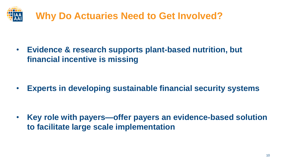

• **Evidence & research supports plant-based nutrition, but financial incentive is missing**

• **Experts in developing sustainable financial security systems**

• **Key role with payers—offer payers an evidence-based solution to facilitate large scale implementation**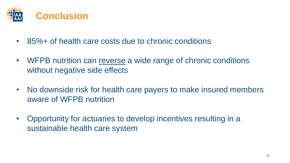

- 85%+ of health care costs due to chronic conditions
- WFPB nutrition can reverse a wide range of chronic conditions without negative side effects
- No downside risk for health care payers to make insured members aware of WFPB nutrition
- Opportunity for actuaries to develop incentives resulting in a sustainable health care system